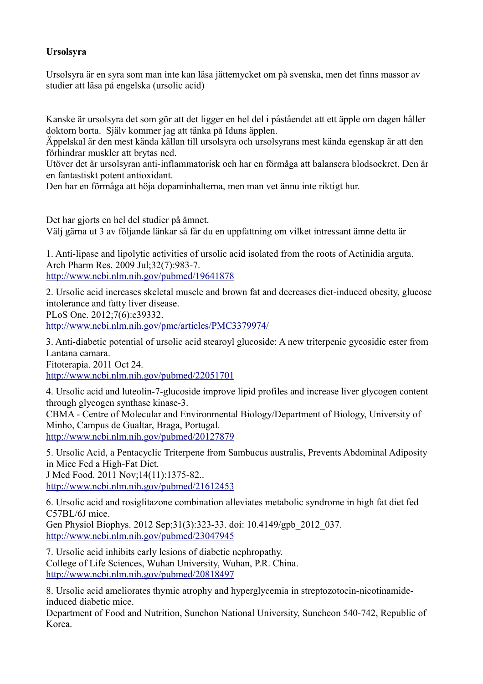## **Ursolsyra**

Ursolsyra är en syra som man inte kan läsa jättemycket om på svenska, men det finns massor av studier att läsa på engelska (ursolic acid)

Kanske är ursolsyra det som gör att det ligger en hel del i påståendet att ett äpple om dagen håller doktorn borta. Själv kommer jag att tänka på Iduns äpplen.

Äppelskal är den mest kända källan till ursolsyra och ursolsyrans mest kända egenskap är att den förhindrar muskler att brytas ned.

Utöver det är ursolsyran anti-inflammatorisk och har en förmåga att balansera blodsockret. Den är en fantastiskt potent antioxidant.

Den har en förmåga att höja dopaminhalterna, men man vet ännu inte riktigt hur.

Det har gjorts en hel del studier på ämnet. Välj gärna ut 3 av följande länkar så får du en uppfattning om vilket intressant ämne detta är

1. Anti-lipase and lipolytic activities of ursolic acid isolated from the roots of Actinidia arguta. Arch Pharm Res. 2009 Jul;32(7):983-7.

<http://www.ncbi.nlm.nih.gov/pubmed/19641878>

2. Ursolic acid increases skeletal muscle and brown fat and decreases diet-induced obesity, glucose intolerance and fatty liver disease.

PLoS One. 2012;7(6):e39332.

<http://www.ncbi.nlm.nih.gov/pmc/articles/PMC3379974/>

3. Anti-diabetic potential of ursolic acid stearoyl glucoside: A new triterpenic gycosidic ester from Lantana camara.

Fitoterapia. 2011 Oct 24.

<http://www.ncbi.nlm.nih.gov/pubmed/22051701>

4. Ursolic acid and luteolin-7-glucoside improve lipid profiles and increase liver glycogen content through glycogen synthase kinase-3.

CBMA - Centre of Molecular and Environmental Biology/Department of Biology, University of Minho, Campus de Gualtar, Braga, Portugal.

<http://www.ncbi.nlm.nih.gov/pubmed/20127879>

5. Ursolic Acid, a Pentacyclic Triterpene from Sambucus australis, Prevents Abdominal Adiposity in Mice Fed a High-Fat Diet.

J Med Food. 2011 Nov;14(11):1375-82..

<http://www.ncbi.nlm.nih.gov/pubmed/21612453>

6. Ursolic acid and rosiglitazone combination alleviates metabolic syndrome in high fat diet fed C57BL/6J mice.

Gen Physiol Biophys. 2012 Sep;31(3):323-33. doi: 10.4149/gpb\_2012\_037. <http://www.ncbi.nlm.nih.gov/pubmed/23047945>

7. Ursolic acid inhibits early lesions of diabetic nephropathy. College of Life Sciences, Wuhan University, Wuhan, P.R. China. <http://www.ncbi.nlm.nih.gov/pubmed/20818497>

8. Ursolic acid ameliorates thymic atrophy and hyperglycemia in streptozotocin-nicotinamideinduced diabetic mice.

Department of Food and Nutrition, Sunchon National University, Suncheon 540-742, Republic of Korea.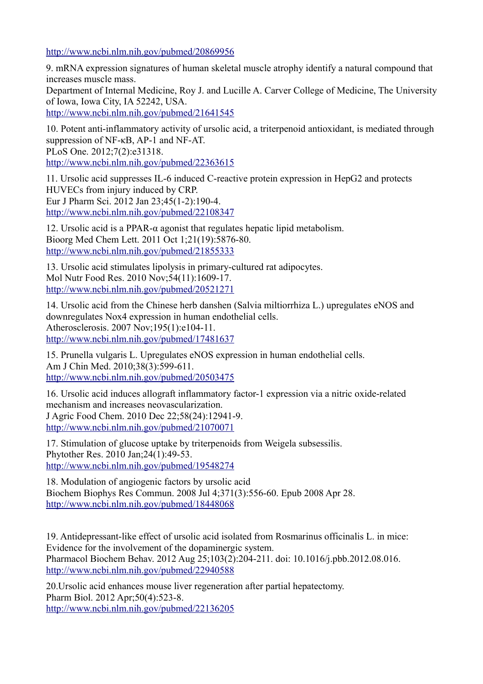<http://www.ncbi.nlm.nih.gov/pubmed/20869956>

9. mRNA expression signatures of human skeletal muscle atrophy identify a natural compound that increases muscle mass.

Department of Internal Medicine, Roy J. and Lucille A. Carver College of Medicine, The University of Iowa, Iowa City, IA 52242, USA.

<http://www.ncbi.nlm.nih.gov/pubmed/21641545>

10. Potent anti-inflammatory activity of ursolic acid, a triterpenoid antioxidant, is mediated through suppression of NF-κB, AP-1 and NF-AT. PLoS One. 2012;7(2):e31318. <http://www.ncbi.nlm.nih.gov/pubmed/22363615>

11. Ursolic acid suppresses IL-6 induced C-reactive protein expression in HepG2 and protects HUVECs from injury induced by CRP. Eur J Pharm Sci. 2012 Jan 23;45(1-2):190-4. <http://www.ncbi.nlm.nih.gov/pubmed/22108347>

12. Ursolic acid is a PPAR-α agonist that regulates hepatic lipid metabolism. Bioorg Med Chem Lett. 2011 Oct 1;21(19):5876-80. <http://www.ncbi.nlm.nih.gov/pubmed/21855333>

13. Ursolic acid stimulates lipolysis in primary-cultured rat adipocytes. Mol Nutr Food Res. 2010 Nov;54(11):1609-17. <http://www.ncbi.nlm.nih.gov/pubmed/20521271>

14. Ursolic acid from the Chinese herb danshen (Salvia miltiorrhiza L.) upregulates eNOS and downregulates Nox4 expression in human endothelial cells. Atherosclerosis. 2007 Nov;195(1):e104-11. <http://www.ncbi.nlm.nih.gov/pubmed/17481637>

15. Prunella vulgaris L. Upregulates eNOS expression in human endothelial cells. Am J Chin Med. 2010;38(3):599-611. <http://www.ncbi.nlm.nih.gov/pubmed/20503475>

16. Ursolic acid induces allograft inflammatory factor-1 expression via a nitric oxide-related mechanism and increases neovascularization. J Agric Food Chem. 2010 Dec 22;58(24):12941-9. <http://www.ncbi.nlm.nih.gov/pubmed/21070071>

17. Stimulation of glucose uptake by triterpenoids from Weigela subsessilis. Phytother Res. 2010 Jan;24(1):49-53. <http://www.ncbi.nlm.nih.gov/pubmed/19548274>

18. Modulation of angiogenic factors by ursolic acid Biochem Biophys Res Commun. 2008 Jul 4;371(3):556-60. Epub 2008 Apr 28. <http://www.ncbi.nlm.nih.gov/pubmed/18448068>

19. Antidepressant-like effect of ursolic acid isolated from Rosmarinus officinalis L. in mice: Evidence for the involvement of the dopaminergic system. Pharmacol Biochem Behav. 2012 Aug 25;103(2):204-211. doi: 10.1016/j.pbb.2012.08.016. <http://www.ncbi.nlm.nih.gov/pubmed/22940588>

20.Ursolic acid enhances mouse liver regeneration after partial hepatectomy. Pharm Biol. 2012 Apr;50(4):523-8. <http://www.ncbi.nlm.nih.gov/pubmed/22136205>